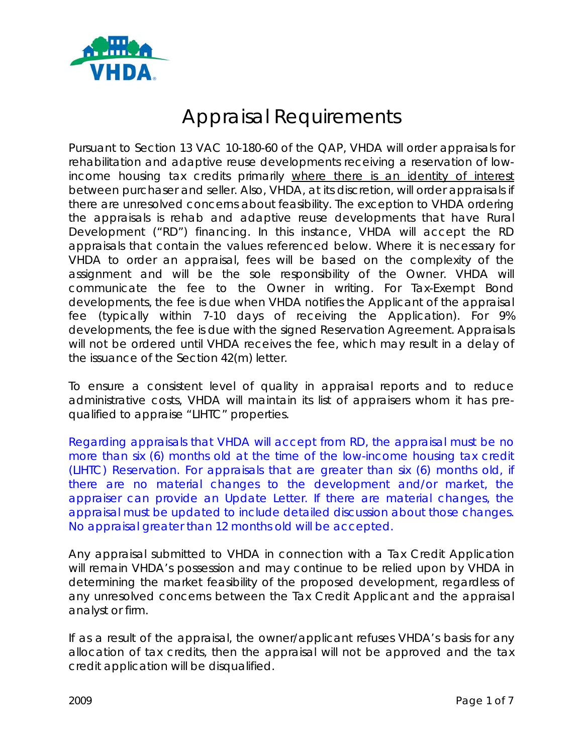

# Appraisal Requirements

Pursuant to Section 13 VAC 10-180-60 of the QAP, VHDA will order appraisals for rehabilitation and adaptive reuse developments receiving a reservation of lowincome housing tax credits primarily where there is an identity of interest between purchaser and seller. Also, VHDA, at its discretion, will order appraisals if there are unresolved concerns about feasibility. The exception to VHDA ordering the appraisals is rehab and adaptive reuse developments that have Rural Development ("RD") financing. In this instance, VHDA will accept the RD appraisals that contain the values referenced below. Where it is necessary for VHDA to order an appraisal, fees will be based on the complexity of the assignment and will be the sole responsibility of the Owner. VHDA will communicate the fee to the Owner in writing. For Tax-Exempt Bond developments, the fee is due when VHDA notifies the Applicant of the appraisal fee (typically within 7-10 days of receiving the Application). For 9% developments, the fee is due with the signed Reservation Agreement. Appraisals will not be ordered until VHDA receives the fee, which may result in a delay of the issuance of the Section 42(m) letter.

To ensure a consistent level of quality in appraisal reports and to reduce administrative costs, VHDA will maintain its list of appraisers whom it has prequalified to appraise "LIHTC" properties.

Regarding appraisals that VHDA will accept from RD, the appraisal must be no more than six (6) months old at the time of the low-income housing tax credit (LIHTC) Reservation. For appraisals that are greater than six (6) months old, if there are no material changes to the development and/or market, the appraiser can provide an Update Letter. If there are material changes, the appraisal must be updated to include detailed discussion about those changes. No appraisal greater than 12 months old will be accepted.

Any appraisal submitted to VHDA in connection with a Tax Credit Application will remain VHDA's possession and may continue to be relied upon by VHDA in determining the market feasibility of the proposed development, regardless of any unresolved concerns between the Tax Credit Applicant and the appraisal analyst or firm.

If as a result of the appraisal, the owner/applicant refuses VHDA's basis for any allocation of tax credits, then the appraisal will not be approved and the tax credit application will be disqualified.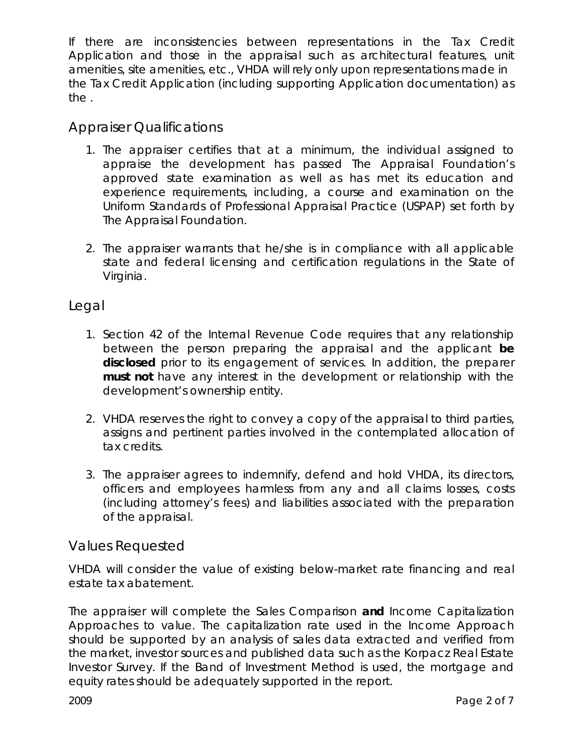If there are inconsistencies between representations in the Tax Credit Application and those in the appraisal such as architectural features, unit amenities, site amenities, etc., VHDA will rely only upon representations made in the Tax Credit Application (including supporting Application documentation) as the .

#### Appraiser Qualifications

- 1. The appraiser certifies that at a minimum, the individual assigned to appraise the development has passed The Appraisal Foundation's approved state examination as well as has met its education and experience requirements, including, a course and examination on the Uniform Standards of Professional Appraisal Practice (USPAP) set forth by The Appraisal Foundation.
- 2. The appraiser warrants that he/she is in compliance with all applicable state and federal licensing and certification regulations in the State of Virginia.

#### Legal

- 1. Section 42 of the Internal Revenue Code requires that any relationship between the person preparing the appraisal and the applicant **be disclosed** prior to its engagement of services. In addition, the preparer **must not** have any interest in the development or relationship with the development's ownership entity.
- 2. VHDA reserves the right to convey a copy of the appraisal to third parties, assigns and pertinent parties involved in the contemplated allocation of tax credits.
- 3. The appraiser agrees to indemnify, defend and hold VHDA, its directors, officers and employees harmless from any and all claims losses, costs (including attorney's fees) and liabilities associated with the preparation of the appraisal.

#### Values Requested

VHDA will consider the value of existing below-market rate financing and real estate tax abatement.

The appraiser will complete the Sales Comparison **and** Income Capitalization Approaches to value. The capitalization rate used in the Income Approach should be supported by an analysis of sales data extracted and verified from the market, investor sources and published data such as the Korpacz Real Estate Investor Survey. If the Band of Investment Method is used, the mortgage and equity rates should be adequately supported in the report.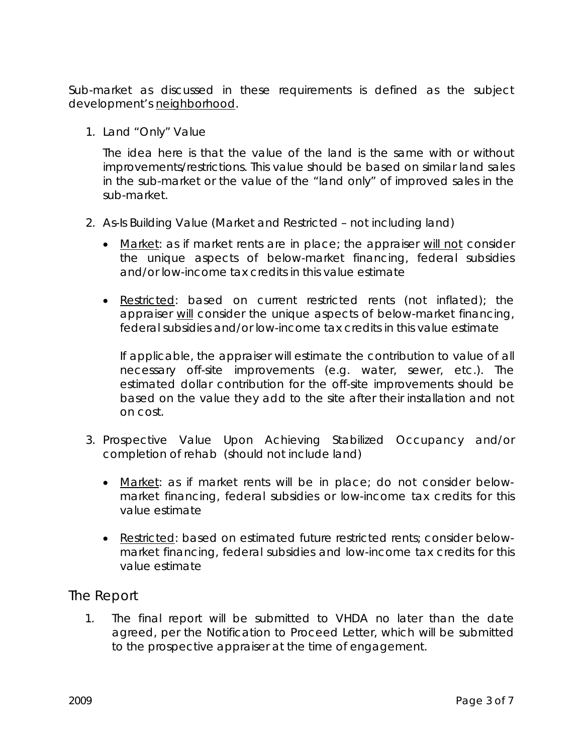Sub-market as discussed in these requirements is defined as the subject development's neighborhood.

1. Land "Only" Value

The idea here is that the value of the land is the same with or without improvements/restrictions. This value should be based on similar land sales in the sub-market or the value of the "land only" of improved sales in the sub-market.

- 2. As-Is Building Value (Market and Restricted not including land)
	- Market: as if market rents are in place; the appraiser will not consider the unique aspects of below-market financing, federal subsidies and/or low-income tax credits in this value estimate
	- Restricted: based on current restricted rents (not inflated); the appraiser will consider the unique aspects of below-market financing, federal subsidies and/or low-income tax credits in this value estimate

If applicable, the appraiser will estimate the contribution to value of all necessary off-site improvements (e.g. water, sewer, etc.). The estimated dollar contribution for the off-site improvements should be based on the value they add to the site after their installation and not on cost.

- 3. Prospective Value Upon Achieving Stabilized Occupancy and/or completion of rehab (should not include land)
	- Market: as if market rents will be in place; do not consider belowmarket financing, federal subsidies or low-income tax credits for this value estimate
	- Restricted: based on estimated future restricted rents; consider belowmarket financing, federal subsidies and low-income tax credits for this value estimate

#### The Report

1. The final report will be submitted to VHDA no later than the date agreed, per the Notification to Proceed Letter, which will be submitted to the prospective appraiser at the time of engagement.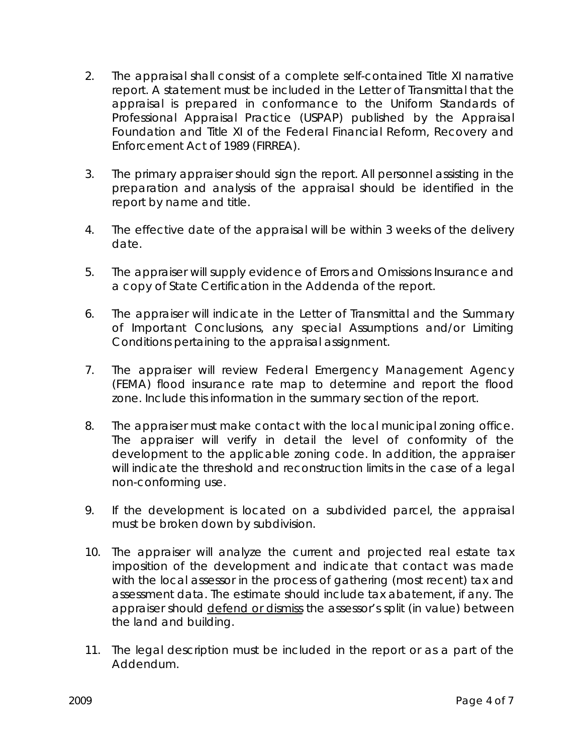- 2. The appraisal shall consist of a complete self-contained Title XI narrative report. A statement must be included in the Letter of Transmittal that the appraisal is prepared in conformance to the Uniform Standards of Professional Appraisal Practice (USPAP) published by the Appraisal Foundation and Title XI of the Federal Financial Reform, Recovery and Enforcement Act of 1989 (FIRREA).
- 3. The primary appraiser should sign the report. All personnel assisting in the preparation and analysis of the appraisal should be identified in the report by name and title.
- 4. The effective date of the appraisal will be within 3 weeks of the delivery date.
- 5. The appraiser will supply evidence of Errors and Omissions Insurance and a copy of State Certification in the Addenda of the report.
- 6. The appraiser will indicate in the Letter of Transmittal and the Summary of Important Conclusions, any special Assumptions and/or Limiting Conditions pertaining to the appraisal assignment.
- 7. The appraiser will review Federal Emergency Management Agency (FEMA) flood insurance rate map to determine and report the flood zone. Include this information in the summary section of the report.
- 8. The appraiser must make contact with the local municipal zoning office. The appraiser will verify in detail the level of conformity of the development to the applicable zoning code. In addition, the appraiser will indicate the threshold and reconstruction limits in the case of a legal non-conforming use.
- 9. If the development is located on a subdivided parcel, the appraisal must be broken down by subdivision.
- 10. The appraiser will analyze the current and projected real estate tax imposition of the development and indicate that contact was made with the local assessor in the process of gathering (most recent) tax and assessment data. The estimate should include tax abatement, if any. The appraiser should defend or dismiss the assessor's split (in value) between the land and building.
- 11. The legal description must be included in the report or as a part of the Addendum.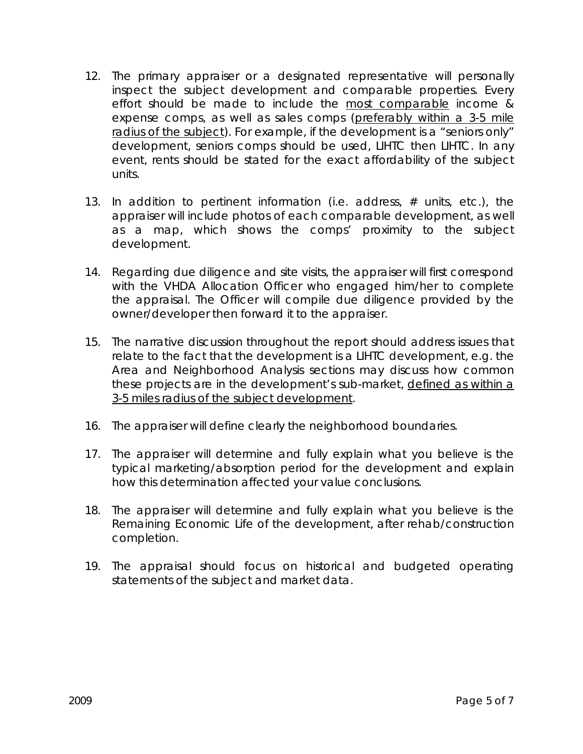- 12. The primary appraiser or a designated representative will personally inspect the subject development and comparable properties. Every effort should be made to include the most comparable income & expense comps, as well as sales comps (preferably within a 3-5 mile radius of the subject). For example, if the development is a "seniors only" development, seniors comps should be used, LIHTC then LIHTC. In any event, rents should be stated for the exact affordability of the subject units.
- 13. In addition to pertinent information (i.e. address, # units, etc.), the appraiser will include photos of each comparable development, as well as a map, which shows the comps' proximity to the subject development.
- 14. Regarding due diligence and site visits, the appraiser will first correspond with the VHDA Allocation Officer who engaged him/her to complete the appraisal. The Officer will compile due diligence provided by the owner/developer then forward it to the appraiser.
- 15. The narrative discussion throughout the report should address issues that relate to the fact that the development is a LIHTC development, e.g. the Area and Neighborhood Analysis sections may discuss how common these projects are in the development's sub-market, defined as within a 3-5 miles radius of the subject development.
- 16. The appraiser will define clearly the neighborhood boundaries.
- 17. The appraiser will determine and fully explain what you believe is the typical marketing/absorption period for the development and explain how this determination affected your value conclusions.
- 18. The appraiser will determine and fully explain what you believe is the Remaining Economic Life of the development, after rehab/construction completion.
- 19. The appraisal should focus on historical and budgeted operating statements of the subject and market data.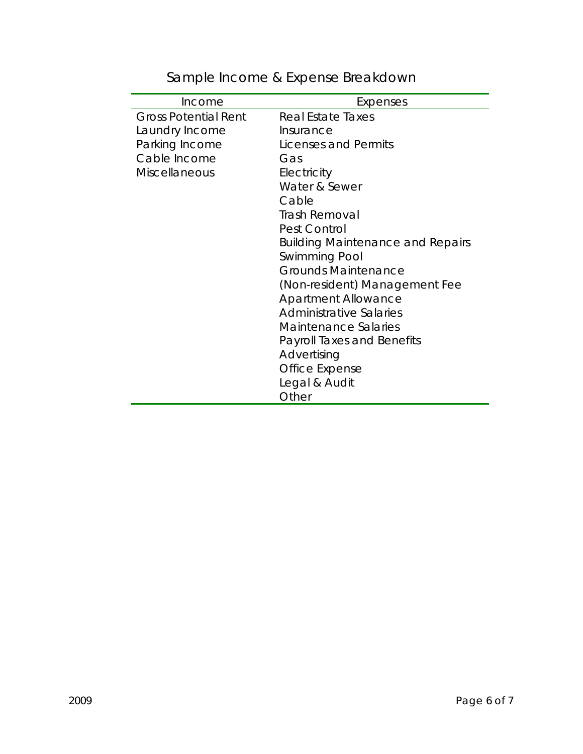| Income                      | Expenses                                |
|-----------------------------|-----------------------------------------|
| <b>Gross Potential Rent</b> | Real Estate Taxes                       |
| Laundry Income              | Insurance                               |
| Parking Income              | Licenses and Permits                    |
| Cable Income                | Gas                                     |
| <b>Miscellaneous</b>        | Electricity                             |
|                             | Water & Sewer                           |
|                             | Cable                                   |
|                             | <b>Trash Removal</b>                    |
|                             | Pest Control                            |
|                             | <b>Building Maintenance and Repairs</b> |
|                             | <b>Swimming Pool</b>                    |
|                             | <b>Grounds Maintenance</b>              |
|                             | (Non-resident) Management Fee           |
|                             | <b>Apartment Allowance</b>              |
|                             | Administrative Salaries                 |
|                             | <b>Maintenance Salaries</b>             |
|                             | <b>Payroll Taxes and Benefits</b>       |
|                             | Advertising                             |
|                             | Office Expense                          |
|                             | Legal & Audit                           |
|                             | Other                                   |

## Sample Income & Expense Breakdown